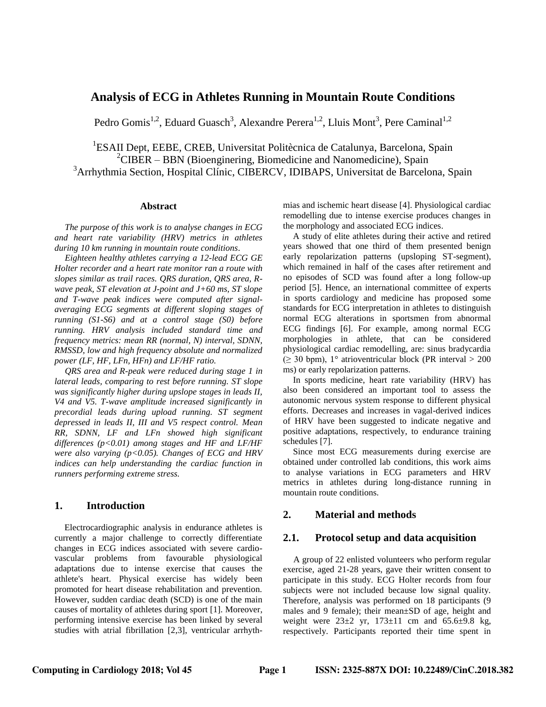# **Analysis of ECG in Athletes Running in Mountain Route Conditions**

Pedro Gomis<sup>1,2</sup>, Eduard Guasch<sup>3</sup>, Alexandre Perera<sup>1,2</sup>, Lluis Mont<sup>3</sup>, Pere Caminal<sup>1,2</sup>

<sup>1</sup>ESAII Dept, EEBE, CREB, Universitat Politècnica de Catalunya, Barcelona, Spain  ${}^{2}$ CIBER – BBN (Bioenginering, Biomedicine and Nanomedicine), Spain <sup>3</sup>Arrhythmia Section, Hospital Clínic, CIBERCV, IDIBAPS, Universitat de Barcelona, Spain

#### **Abstract**

*The purpose of this work is to analyse changes in ECG and heart rate variability (HRV) metrics in athletes during 10 km running in mountain route conditions.* 

*Eighteen healthy athletes carrying a 12-lead ECG GE Holter recorder and a heart rate monitor ran a route with slopes similar as trail races. QRS duration, QRS area, Rwave peak, ST elevation at J-point and J+60 ms, ST slope and T-wave peak indices were computed after signalaveraging ECG segments at different sloping stages of running (S1-S6) and at a control stage (S0) before running. HRV analysis included standard time and frequency metrics: mean RR (normal, N) interval, SDNN, RMSSD, low and high frequency absolute and normalized power (LF, HF, LFn, HFn) and LF/HF ratio.* 

*QRS area and R-peak were reduced during stage 1 in lateral leads, comparing to rest before running. ST slope was significantly higher during upslope stages in leads II, V4 and V5. T-wave amplitude increased significantly in precordial leads during upload running. ST segment depressed in leads II, III and V5 respect control. Mean RR, SDNN, LF and LFn showed high significant differences (p<0.01) among stages and HF and LF/HF were also varying (p<0.05). Changes of ECG and HRV indices can help understanding the cardiac function in runners performing extreme stress.*

### **1. Introduction**

Electrocardiographic analysis in endurance athletes is currently a major challenge to correctly differentiate changes in ECG indices associated with severe cardiovascular problems from favourable physiological adaptations due to intense exercise that causes the athlete's heart. Physical exercise has widely been promoted for heart disease rehabilitation and prevention. However, sudden cardiac death (SCD) is one of the main causes of mortality of athletes during sport [1]. Moreover, performing intensive exercise has been linked by several studies with atrial fibrillation [2,3], ventricular arrhythmias and ischemic heart disease [4]. Physiological cardiac remodelling due to intense exercise produces changes in the morphology and associated ECG indices.

A study of elite athletes during their active and retired years showed that one third of them presented benign early repolarization patterns (upsloping ST-segment), which remained in half of the cases after retirement and no episodes of SCD was found after a long follow-up period [5]. Hence, an international committee of experts in sports cardiology and medicine has proposed some standards for ECG interpretation in athletes to distinguish normal ECG alterations in sportsmen from abnormal ECG findings [6]. For example, among normal ECG morphologies in athlete, that can be considered physiological cardiac remodelling, are: sinus bradycardia  $(\geq 30 \text{ bpm})$ , 1° atrioventricular block (PR interval  $> 200$ ms) or early repolarization patterns.

In sports medicine, heart rate variability (HRV) has also been considered an important tool to assess the autonomic nervous system response to different physical efforts. Decreases and increases in vagal-derived indices of HRV have been suggested to indicate negative and positive adaptations, respectively, to endurance training schedules [7].

Since most ECG measurements during exercise are obtained under controlled lab conditions, this work aims to analyse variations in ECG parameters and HRV metrics in athletes during long-distance running in mountain route conditions.

## **2. Material and methods**

### **2.1. Protocol setup and data acquisition**

A group of 22 enlisted volunteers who perform regular exercise, aged 21-28 years, gave their written consent to participate in this study. ECG Holter records from four subjects were not included because low signal quality. Therefore, analysis was performed on 18 participants (9 males and 9 female); their mean±SD of age, height and weight were  $23\pm 2$  yr,  $173\pm 11$  cm and  $65.6\pm 9.8$  kg, respectively. Participants reported their time spent in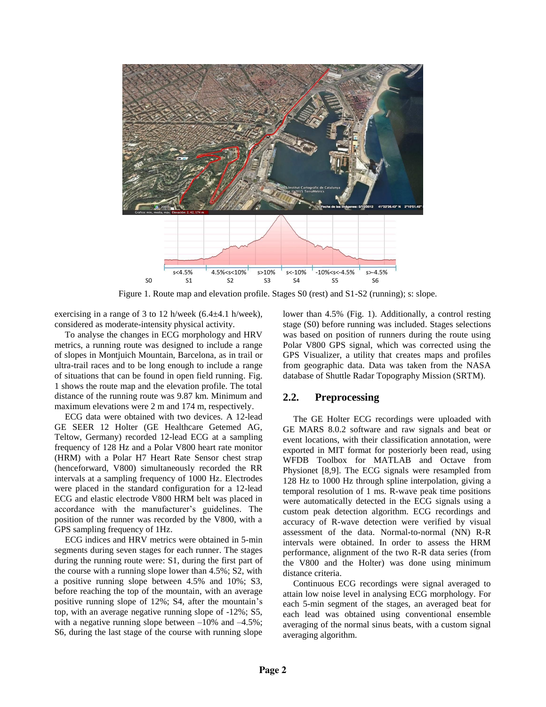

Figure 1. Route map and elevation profile. Stages S0 (rest) and S1-S2 (running); s: slope.

exercising in a range of 3 to 12 h/week (6.4±4.1 h/week), considered as moderate-intensity physical activity.

To analyse the changes in ECG morphology and HRV metrics, a running route was designed to include a range of slopes in Montjuich Mountain, Barcelona, as in trail or ultra-trail races and to be long enough to include a range of situations that can be found in open field running. Fig. 1 shows the route map and the elevation profile. The total distance of the running route was 9.87 km. Minimum and maximum elevations were 2 m and 174 m, respectively.

ECG data were obtained with two devices. A 12-lead GE SEER 12 Holter (GE Healthcare Getemed AG, Teltow, Germany) recorded 12-lead ECG at a sampling frequency of 128 Hz and a Polar V800 heart rate monitor (HRM) with a Polar H7 Heart Rate Sensor chest strap (henceforward, V800) simultaneously recorded the RR intervals at a sampling frequency of 1000 Hz. Electrodes were placed in the standard configuration for a 12-lead ECG and elastic electrode V800 HRM belt was placed in accordance with the manufacturer's guidelines. The position of the runner was recorded by the V800, with a GPS sampling frequency of 1Hz.

ECG indices and HRV metrics were obtained in 5-min segments during seven stages for each runner. The stages during the running route were: S1, during the first part of the course with a running slope lower than 4.5%; S2, with a positive running slope between 4.5% and 10%; S3, before reaching the top of the mountain, with an average positive running slope of 12%; S4, after the mountain's top, with an average negative running slope of -12%; S5, with a negative running slope between  $-10\%$  and  $-4.5\%$ ; S6, during the last stage of the course with running slope

lower than 4.5% (Fig. 1). Additionally, a control resting stage (S0) before running was included. Stages selections was based on position of runners during the route using Polar V800 GPS signal, which was corrected using the GPS Visualizer, a utility that creates maps and profiles from geographic data. Data was taken from the NASA database of Shuttle Radar Topography Mission (SRTM).

# **2.2. Preprocessing**

The GE Holter ECG recordings were uploaded with GE MARS 8.0.2 software and raw signals and beat or event locations, with their classification annotation, were exported in MIT format for posteriorly been read, using WFDB Toolbox for MATLAB and Octave from Physionet [8,9]. The ECG signals were resampled from 128 Hz to 1000 Hz through spline interpolation, giving a temporal resolution of 1 ms. R-wave peak time positions were automatically detected in the ECG signals using a custom peak detection algorithm. ECG recordings and accuracy of R-wave detection were verified by visual assessment of the data. Normal-to-normal (NN) R-R intervals were obtained. In order to assess the HRM performance, alignment of the two R-R data series (from the V800 and the Holter) was done using minimum distance criteria.

Continuous ECG recordings were signal averaged to attain low noise level in analysing ECG morphology. For each 5-min segment of the stages, an averaged beat for each lead was obtained using conventional ensemble averaging of the normal sinus beats, with a custom signal averaging algorithm.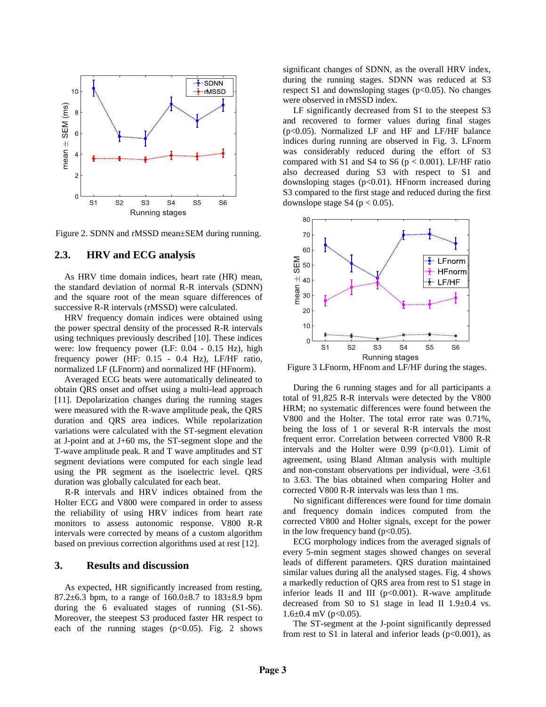

Figure 2. SDNN and rMSSD mean±SEM during running.

# **2.3. HRV and ECG analysis**

As HRV time domain indices, heart rate (HR) mean, the standard deviation of normal R-R intervals (SDNN) and the square root of the mean square differences of successive R-R intervals (rMSSD) were calculated.

HRV frequency domain indices were obtained using the power spectral density of the processed R-R intervals using techniques previously described [10]. These indices were: low frequency power (LF: 0.04 - 0.15 Hz), high frequency power (HF: 0.15 - 0.4 Hz), LF/HF ratio, normalized LF (LFnorm) and normalized HF (HFnorm).

Averaged ECG beats were automatically delineated to obtain QRS onset and offset using a multi-lead approach [11]. Depolarization changes during the running stages were measured with the R-wave amplitude peak, the QRS duration and QRS area indices. While repolarization variations were calculated with the ST-segment elevation at J-point and at J+60 ms, the ST-segment slope and the T-wave amplitude peak. R and T wave amplitudes and ST segment deviations were computed for each single lead using the PR segment as the isoelectric level. QRS duration was globally calculated for each beat.

R-R intervals and HRV indices obtained from the Holter ECG and V800 were compared in order to assess the reliability of using HRV indices from heart rate monitors to assess autonomic response. V800 R-R intervals were corrected by means of a custom algorithm based on previous correction algorithms used at rest [12].

### **3. Results and discussion**

As expected, HR significantly increased from resting, 87.2 $\pm$ 6.3 bpm, to a range of 160.0 $\pm$ 8.7 to 183 $\pm$ 8.9 bpm during the 6 evaluated stages of running (S1-S6). Moreover, the steepest S3 produced faster HR respect to each of the running stages  $(p<0.05)$ . Fig. 2 shows

significant changes of SDNN, as the overall HRV index, during the running stages. SDNN was reduced at S3 respect S1 and downsloping stages ( $p<0.05$ ). No changes were observed in rMSSD index.

LF significantly decreased from S1 to the steepest S3 and recovered to former values during final stages (p<0.05). Normalized LF and HF and LF/HF balance indices during running are observed in Fig. 3. LFnorm was considerably reduced during the effort of S3 compared with S1 and S4 to S6 ( $p < 0.001$ ). LF/HF ratio also decreased during S3 with respect to S1 and downsloping stages (p<0.01). HFnorm increased during S3 compared to the first stage and reduced during the first downslope stage S4 ( $p < 0.05$ ).



Figure 3 LFnorm, HFnom and LF/HF during the stages.

During the 6 running stages and for all participants a total of 91,825 R-R intervals were detected by the V800 HRM; no systematic differences were found between the V800 and the Holter. The total error rate was 0.71%, being the loss of 1 or several R-R intervals the most frequent error. Correlation between corrected V800 R-R intervals and the Holter were  $0.99$  ( $p<0.01$ ). Limit of agreement, using Bland Altman analysis with multiple and non-constant observations per individual, were -3.61 to 3.63. The bias obtained when comparing Holter and corrected V800 R-R intervals was less than 1 ms.

No significant differences were found for time domain and frequency domain indices computed from the corrected V800 and Holter signals, except for the power in the low frequency band  $(p<0.05)$ .

ECG morphology indices from the averaged signals of every 5-min segment stages showed changes on several leads of different parameters. QRS duration maintained similar values during all the analysed stages. Fig. 4 shows a markedly reduction of QRS area from rest to S1 stage in inferior leads II and III ( $p<0.001$ ). R-wave amplitude decreased from S0 to S1 stage in lead II  $1.9 \pm 0.4$  vs.  $1.6\pm0.4$  mV (p<0.05).

The ST-segment at the J-point significantly depressed from rest to S1 in lateral and inferior leads ( $p<0.001$ ), as